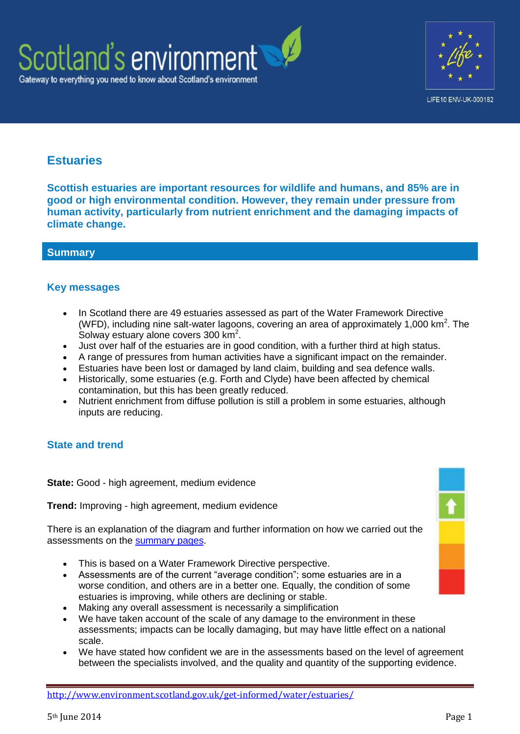



# **Estuaries**

**Scottish estuaries are important resources for wildlife and humans, and 85% are in good or high environmental condition. However, they remain under pressure from human activity, particularly from nutrient enrichment and the damaging impacts of climate change.**

# **Summary**

# **Key messages**

- In Scotland there are 49 estuaries assessed as part of the Water Framework Directive (WFD), including nine salt-water lagoons, covering an area of approximately 1,000  $km<sup>2</sup>$ . The Solway estuary alone covers 300 km<sup>2</sup>.
- Just over half of the estuaries are in good condition, with a further third at high status.
- A range of pressures from human activities have a significant impact on the remainder.
- Estuaries have been lost or damaged by land claim, building and sea defence walls.
- Historically, some estuaries (e.g. Forth and Clyde) have been affected by chemical contamination, but this has been greatly reduced.
- Nutrient enrichment from diffuse pollution is still a problem in some estuaries, although inputs are reducing.

# **State and trend**

**State:** Good - high agreement, medium evidence

**Trend:** Improving - high agreement, medium evidence

There is an explanation of the diagram and further information on how we carried out the assessments on the [summary pages.](http://www.environment.scotland.gov.uk/get-informed/state-of-the-environment-summary/state-and-trend-assessments/)

- This is based on a Water Framework Directive perspective.
- Assessments are of the current "average condition"; some estuaries are in a worse condition, and others are in a better one. Equally, the condition of some estuaries is improving, while others are declining or stable.
- Making any overall assessment is necessarily a simplification
- We have taken account of the scale of any damage to the environment in these assessments; impacts can be locally damaging, but may have little effect on a national scale.
- We have stated how confident we are in the assessments based on the level of agreement between the specialists involved, and the quality and quantity of the supporting evidence.

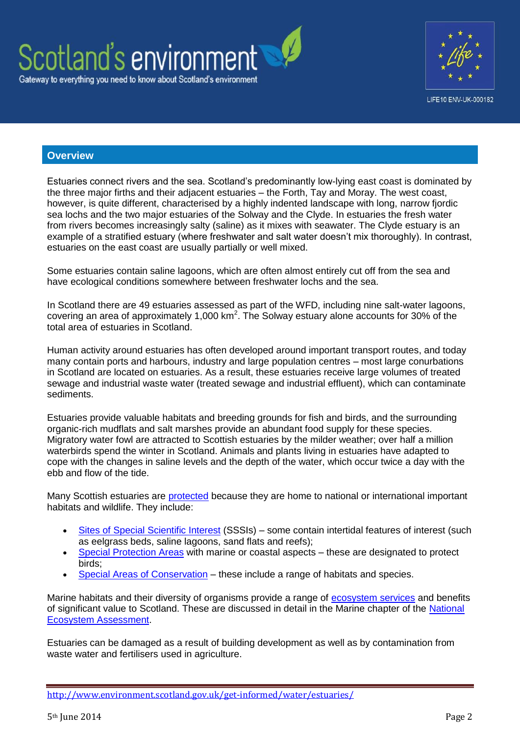



#### **Overview**

Estuaries connect rivers and the sea. Scotland's predominantly low-lying east coast is dominated by the three major firths and their adjacent estuaries – the Forth, Tay and Moray. The west coast, however, is quite different, characterised by a highly indented landscape with long, narrow fjordic sea lochs and the two major estuaries of the Solway and the Clyde. In estuaries the fresh water from rivers becomes increasingly salty (saline) as it mixes with seawater. The Clyde estuary is an example of a stratified estuary (where freshwater and salt water doesn't mix thoroughly). In contrast, estuaries on the east coast are usually partially or well mixed.

Some estuaries contain saline lagoons, which are often almost entirely cut off from the sea and have ecological conditions somewhere between freshwater lochs and the sea.

In Scotland there are 49 estuaries assessed as part of the WFD, including nine salt-water lagoons, covering an area of approximately 1,000  $km^2$ . The Solway estuary alone accounts for 30% of the total area of estuaries in Scotland.

Human activity around estuaries has often developed around important transport routes, and today many contain ports and harbours, industry and large population centres – most large conurbations in Scotland are located on estuaries. As a result, these estuaries receive large volumes of treated sewage and industrial waste water (treated sewage and industrial effluent), which can contaminate sediments.

Estuaries provide valuable habitats and breeding grounds for fish and birds, and the surrounding organic-rich mudflats and salt marshes provide an abundant food supply for these species. Migratory water fowl are attracted to Scottish estuaries by the milder weather; over half a million waterbirds spend the winter in Scotland. Animals and plants living in estuaries have adapted to cope with the changes in saline levels and the depth of the water, which occur twice a day with the ebb and flow of the tide.

Many Scottish estuaries are [protected](http://www.scotland.gov.uk/Publications/2011/03/16182005/44) because they are home to national or international important habitats and wildlife. They include:

- [Sites of Special Scientific Interest](http://www.snh.gov.uk/protecting-scotlands-nature/protected-areas/national-designations/sssis/) (SSSIs) some contain intertidal features of interest (such as eelgrass beds, saline lagoons, sand flats and reefs);
- [Special Protection Areas](http://www.snh.gov.uk/protecting-scotlands-nature/protected-areas/international-designations/spa/marine-spas/) with marine or coastal aspects these are designated to protect birds;
- [Special Areas of Conservation](http://www.snh.gov.uk/protecting-scotlands-nature/protected-areas/international-designations/sac/marine-sacs/) these include a range of habitats and species.

Marine habitats and their diversity of organisms provide a range of [ecosystem services](http://www.ecosystemservices.org.uk/ecoserv.htm) and benefits of significant value to Scotland. These are discussed in detail in the Marine chapter of the [National](http://uknea.unep-wcmc.org/Resources/tabid/82/Default.aspx)  [Ecosystem Assessment.](http://uknea.unep-wcmc.org/Resources/tabid/82/Default.aspx)

Estuaries can be damaged as a result of building development as well as by contamination from waste water and fertilisers used in agriculture.

<http://www.environment.scotland.gov.uk/get-informed/water/estuaries/>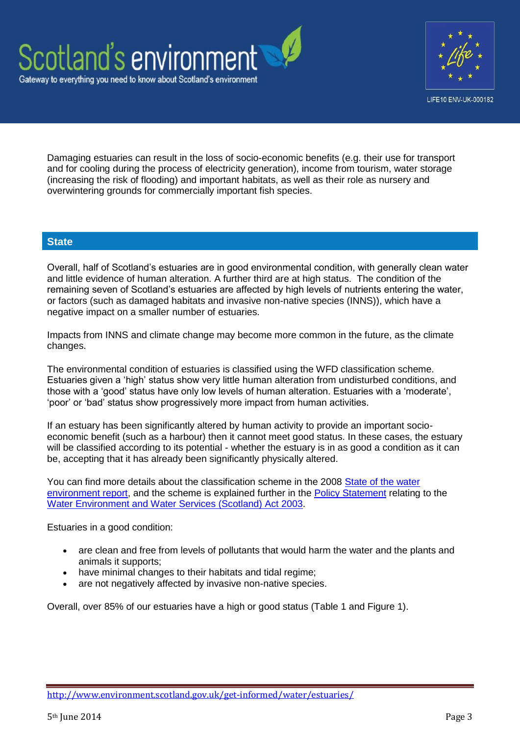



Damaging estuaries can result in the loss of socio-economic benefits (e.g. their use for transport and for cooling during the process of electricity generation), income from tourism, water storage (increasing the risk of flooding) and important habitats, as well as their role as nursery and overwintering grounds for commercially important fish species.

# **State**

Overall, half of Scotland's estuaries are in good environmental condition, with generally clean water and little evidence of human alteration. A further third are at high status. The condition of the remaining seven of Scotland's estuaries are affected by high levels of nutrients entering the water, or factors (such as damaged habitats and invasive non-native species (INNS)), which have a negative impact on a smaller number of estuaries.

Impacts from INNS and climate change may become more common in the future, as the climate changes.

The environmental condition of estuaries is classified using the WFD classification scheme. Estuaries given a 'high' status show very little human alteration from undisturbed conditions, and those with a 'good' status have only low levels of human alteration. Estuaries with a 'moderate', 'poor' or 'bad' status show progressively more impact from human activities.

If an estuary has been significantly altered by human activity to provide an important socioeconomic benefit (such as a harbour) then it cannot meet good status. In these cases, the estuary will be classified according to its potential - whether the estuary is in as good a condition as it can be, accepting that it has already been significantly physically altered.

You can find more details about the classification scheme in the 2008 [State of the water](http://www.sepa.org.uk/water/idoc.ashx?docid=c2e7861e-4414-4ebd-9867-cfdf8d09d392&version=-1)  [environment report,](http://www.sepa.org.uk/water/idoc.ashx?docid=c2e7861e-4414-4ebd-9867-cfdf8d09d392&version=-1) and the scheme is explained further in the [Policy Statement](http://www.scotland.gov.uk/Publications/2010/03/02155205/4) relating to the [Water Environment and Water Services \(Scotland\) Act 2003.](http://www.hmso.gov.uk/legislation/scotland/acts2003/20030003.htm)

Estuaries in a good condition:

- are clean and free from levels of pollutants that would harm the water and the plants and animals it supports;
- have minimal changes to their habitats and tidal regime;
- are not negatively affected by invasive non-native species.

Overall, over 85% of our estuaries have a high or good status (Table 1 and Figure 1).

<http://www.environment.scotland.gov.uk/get-informed/water/estuaries/>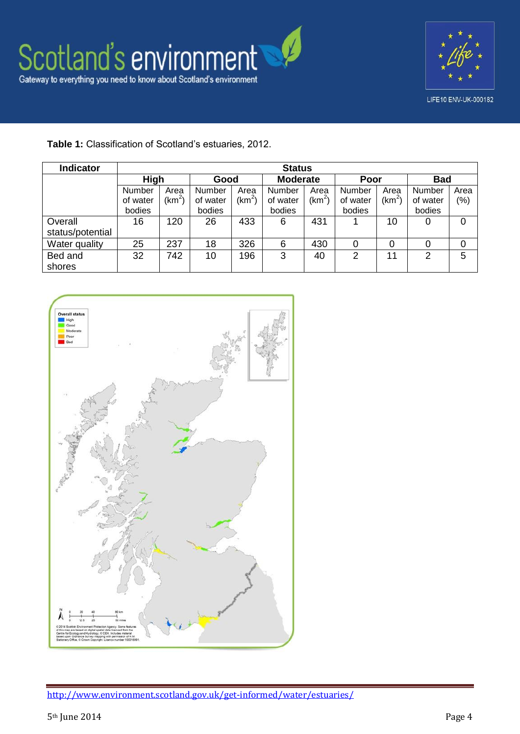

# **Table 1:** Classification of Scotland's estuaries, 2012.

| Indicator        | <b>Status</b> |                    |          |            |                 |                    |          |                    |            |      |  |
|------------------|---------------|--------------------|----------|------------|-----------------|--------------------|----------|--------------------|------------|------|--|
|                  | High          |                    | Good     |            | <b>Moderate</b> |                    | Poor     |                    | <b>Bad</b> |      |  |
|                  | <b>Number</b> | Area               | Number   | Area       | <b>Number</b>   | Area               | Number   | Area               | Number     | Area |  |
|                  | of water      | (km <sup>2</sup> ) | of water | (km $^2$ ) | of water        | (km <sup>2</sup> ) | of water | (km <sup>2</sup> ) | of water   | (% ) |  |
|                  | bodies        |                    | bodies   |            | bodies          |                    | bodies   |                    | bodies     |      |  |
| Overall          | 16            | 120                | 26       | 433        | 6               | 431                |          | 10                 | 0          | 0    |  |
| status/potential |               |                    |          |            |                 |                    |          |                    |            |      |  |
| Water quality    | 25            | 237                | 18       | 326        | 6               | 430                |          | 0                  | 0          | 0    |  |
| Bed and          | 32            | 742                | 10       | 196        | 3               | 40                 | 2        | 11                 | 2          | 5    |  |
| shores           |               |                    |          |            |                 |                    |          |                    |            |      |  |

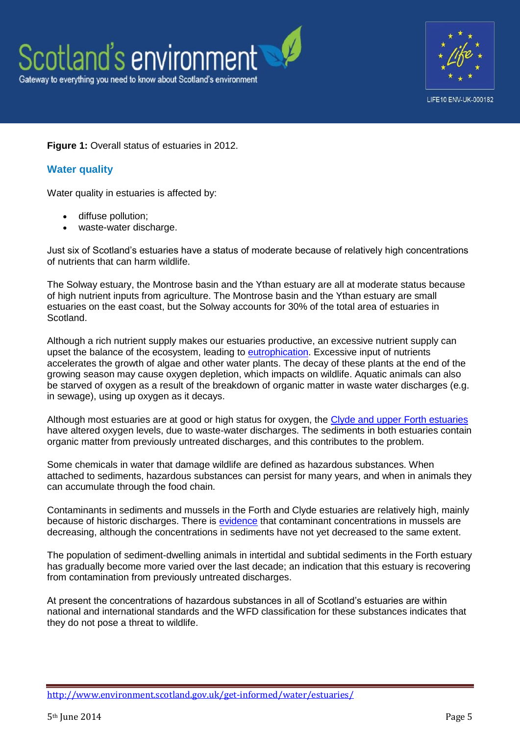

### **Figure 1:** Overall status of estuaries in 2012.

# **Water quality**

Water quality in estuaries is affected by:

- diffuse pollution;
- waste-water discharge.

Just six of Scotland's estuaries have a status of moderate because of relatively high concentrations of nutrients that can harm wildlife.

The Solway estuary, the Montrose basin and the Ythan estuary are all at moderate status because of high nutrient inputs from agriculture. The Montrose basin and the Ythan estuary are small estuaries on the east coast, but the Solway accounts for 30% of the total area of estuaries in Scotland.

Although a rich nutrient supply makes our estuaries productive, an excessive nutrient supply can upset the balance of the ecosystem, leading to [eutrophication.](http://www.scotland.gov.uk/Publications/2011/03/16182005/38) Excessive input of nutrients accelerates the growth of algae and other water plants. The decay of these plants at the end of the growing season may cause oxygen depletion, which impacts on wildlife. Aquatic animals can also be starved of oxygen as a result of the breakdown of organic matter in waste water discharges (e.g. in sewage), using up oxygen as it decays.

Although most estuaries are at good or high status for oxygen, the [Clyde and upper Forth estuaries](http://www.scotland.gov.uk/Publications/2011/03/16182005/39) have altered oxygen levels, due to waste-water discharges. The sediments in both estuaries contain organic matter from previously untreated discharges, and this contributes to the problem.

Some chemicals in water that damage wildlife are defined as hazardous substances. When attached to sediments, hazardous substances can persist for many years, and when in animals they can accumulate through the food chain.

Contaminants in sediments and mussels in the Forth and Clyde estuaries are relatively high, mainly because of historic discharges. There is [evidence](http://qsr2010.ospar.org/media/assessments/p00395_Chemical_status_and_trend_HA-6.pdf#page=31) that contaminant concentrations in mussels are decreasing, although the concentrations in sediments have not yet decreased to the same extent.

The population of sediment-dwelling animals in intertidal and subtidal sediments in the Forth estuary has gradually become more varied over the last decade; an indication that this estuary is recovering from contamination from previously untreated discharges.

At present the concentrations of hazardous substances in all of Scotland's estuaries are within national and international standards and the WFD classification for these substances indicates that they do not pose a threat to wildlife.

<http://www.environment.scotland.gov.uk/get-informed/water/estuaries/>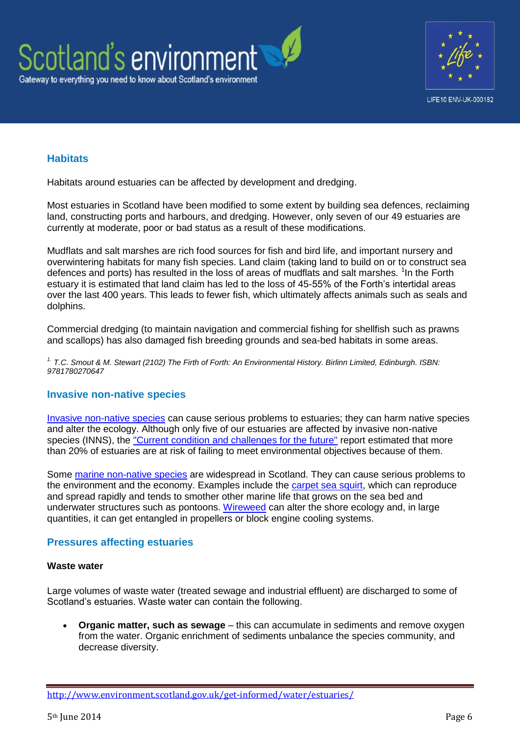



# **Habitats**

Habitats around estuaries can be affected by development and dredging.

Most estuaries in Scotland have been modified to some extent by building sea defences, reclaiming land, constructing ports and harbours, and dredging. However, only seven of our 49 estuaries are currently at moderate, poor or bad status as a result of these modifications.

Mudflats and salt marshes are rich food sources for fish and bird life, and important nursery and overwintering habitats for many fish species. Land claim (taking land to build on or to construct sea defences and ports) has resulted in the loss of areas of mudflats and salt marshes. <sup>1</sup>In the Forth estuary it is estimated that land claim has led to the loss of 45-55% of the Forth's intertidal areas over the last 400 years. This leads to fewer fish, which ultimately affects animals such as seals and dolphins.

Commercial dredging (to maintain navigation and commercial fishing for shellfish such as prawns and scallops) has also damaged fish breeding grounds and sea-bed habitats in some areas.

*1. T.C. Smout & M. Stewart (2102) The Firth of Forth: An Environmental History. Birlinn Limited, Edinburgh. ISBN: 9781780270647*

#### **Invasive non-native species**

[Invasive non-native species](http://www.nonnativespecies.org/index.cfm?pageid=64) can cause serious problems to estuaries; they can harm native species and alter the ecology. Although only five of our estuaries are affected by invasive non-native species (INNS), the ["Current condition and challenges for the future"](http://www.sepa.org.uk/water/river_basin_planning/significant_issues.aspx) report estimated that more than 20% of estuaries are at risk of failing to meet environmental objectives because of them.

Some [marine non-native species](http://www.snh.gov.uk/land-and-sea/managing-coasts-and-sea/marine-nonnatives/) are widespread in Scotland. They can cause serious problems to the environment and the economy. Examples include the [carpet sea squirt,](http://www.snh.gov.uk/land-and-sea/managing-coasts-and-sea/marine-nonnatives/carpet-sea-squirt/) which can reproduce and spread rapidly and tends to smother other marine life that grows on the sea bed and underwater structures such as pontoons. [Wireweed](http://www.snh.gov.uk/land-and-sea/managing-coasts-and-sea/marine-nonnatives/wireweed/) can alter the shore ecology and, in large quantities, it can get entangled in propellers or block engine cooling systems.

#### **Pressures affecting estuaries**

#### **Waste water**

Large volumes of waste water (treated sewage and industrial effluent) are discharged to some of Scotland's estuaries. Waste water can contain the following.

 **Organic matter, such as sewage** – this can accumulate in sediments and remove oxygen from the water. Organic enrichment of sediments unbalance the species community, and decrease diversity.

<http://www.environment.scotland.gov.uk/get-informed/water/estuaries/>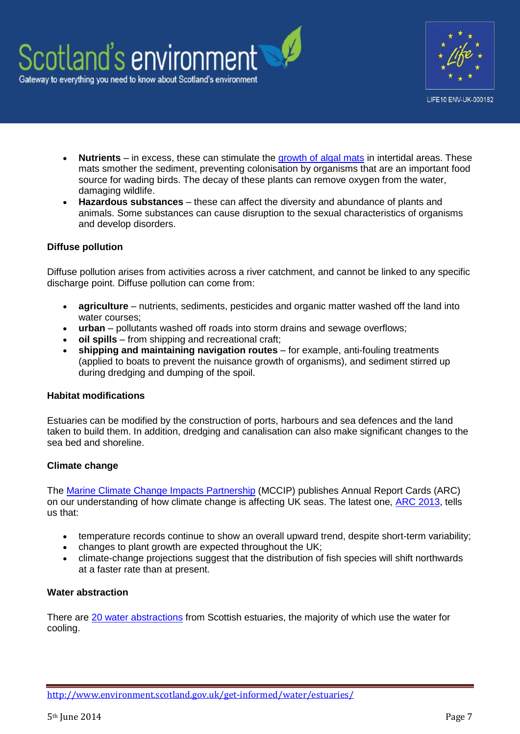



- **Nutrients** in excess, these can stimulate the [growth of algal mats](http://www.scotland.gov.uk/Publications/2011/03/16182005/38) in intertidal areas. These mats smother the sediment, preventing colonisation by organisms that are an important food source for wading birds. The decay of these plants can remove oxygen from the water, damaging wildlife.
- **Hazardous substances** these can affect the diversity and abundance of plants and animals. Some substances can cause disruption to the sexual characteristics of organisms and develop disorders.

### **Diffuse pollution**

Diffuse pollution arises from activities across a river catchment, and cannot be linked to any specific discharge point. Diffuse pollution can come from:

- **agriculture** nutrients, sediments, pesticides and organic matter washed off the land into water courses;
- **urban** pollutants washed off roads into storm drains and sewage overflows;
- **oil spills** from shipping and recreational craft;
- **shipping and maintaining navigation routes** for example, anti-fouling treatments (applied to boats to prevent the nuisance growth of organisms), and sediment stirred up during dredging and dumping of the spoil.

#### **Habitat modifications**

Estuaries can be modified by the construction of ports, harbours and sea defences and the land taken to build them. In addition, dredging and canalisation can also make significant changes to the sea bed and shoreline.

#### **Climate change**

The [Marine Climate Change Impacts Partnership](http://www.mccip.org.uk/) (MCCIP) publishes Annual Report Cards (ARC) on our understanding of how climate change is affecting UK seas. The latest one, [ARC 2013,](http://www.mccip.org.uk/annual-report-card.aspx) tells us that:

- temperature records continue to show an overall upward trend, despite short-term variability;
- changes to plant growth are expected throughout the UK;
- climate-change projections suggest that the distribution of fish species will shift northwards at a faster rate than at present.

#### **Water abstraction**

There are [20 water abstractions](http://www.scotland.gov.uk/Publications/2011/03/16182005/71) from Scottish estuaries, the majority of which use the water for cooling.

<http://www.environment.scotland.gov.uk/get-informed/water/estuaries/>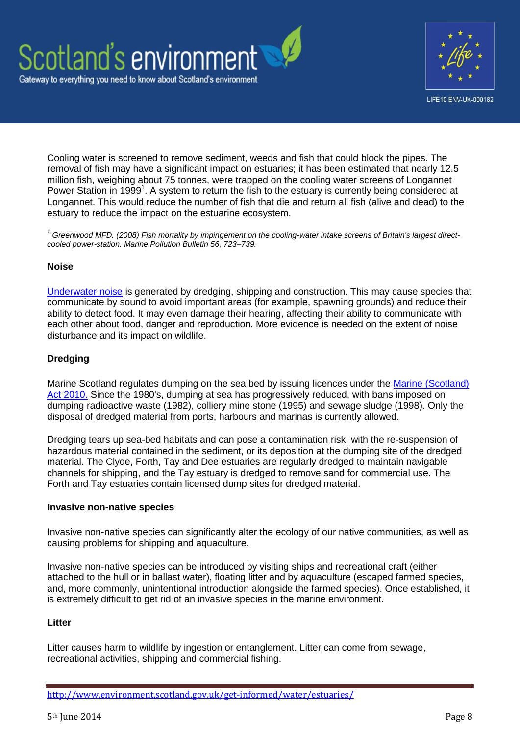



Cooling water is screened to remove sediment, weeds and fish that could block the pipes. The removal of fish may have a significant impact on estuaries; it has been estimated that nearly 12.5 million fish, weighing about 75 tonnes, were trapped on the cooling water screens of Longannet Power Station in 1999<sup>1</sup>. A system to return the fish to the estuary is currently being considered at Longannet. This would reduce the number of fish that die and return all fish (alive and dead) to the estuary to reduce the impact on the estuarine ecosystem.

*<sup>1</sup> Greenwood MFD. (2008) Fish mortality by impingement on the cooling-water intake screens of Britain's largest directcooled power-station. Marine Pollution Bulletin 56, 723–739.*

#### **Noise**

[Underwater noise](http://www.scotland.gov.uk/Publications/2011/03/16182005/42) is generated by dredging, shipping and construction. This may cause species that communicate by sound to avoid important areas (for example, spawning grounds) and reduce their ability to detect food. It may even damage their hearing, affecting their ability to communicate with each other about food, danger and reproduction. More evidence is needed on the extent of noise disturbance and its impact on wildlife.

### **Dredging**

Marine Scotland regulates dumping on the sea bed by issuing licences under the [Marine \(Scotland\)](http://www.scotland.gov.uk/Topics/marine/Licensing/marine)  [Act 2010.](http://www.scotland.gov.uk/Topics/marine/Licensing/marine) Since the 1980's, dumping at sea has progressively reduced, with bans imposed on dumping radioactive waste (1982), colliery mine stone (1995) and sewage sludge (1998). Only the disposal of dredged material from ports, harbours and marinas is currently allowed.

Dredging tears up sea-bed habitats and can pose a contamination risk, with the re-suspension of hazardous material contained in the sediment, or its deposition at the dumping site of the dredged material. The Clyde, Forth, Tay and Dee estuaries are regularly dredged to maintain navigable channels for shipping, and the Tay estuary is dredged to remove sand for commercial use. The Forth and Tay estuaries contain licensed dump sites for dredged material.

#### **Invasive non-native species**

Invasive non-native species can significantly alter the ecology of our native communities, as well as causing problems for shipping and aquaculture.

Invasive non-native species can be introduced by visiting ships and recreational craft (either attached to the hull or in ballast water), floating litter and by aquaculture (escaped farmed species, and, more commonly, unintentional introduction alongside the farmed species). Once established, it is extremely difficult to get rid of an invasive species in the marine environment.

#### **Litter**

Litter causes harm to wildlife by ingestion or entanglement. Litter can come from sewage, recreational activities, shipping and commercial fishing.

<http://www.environment.scotland.gov.uk/get-informed/water/estuaries/>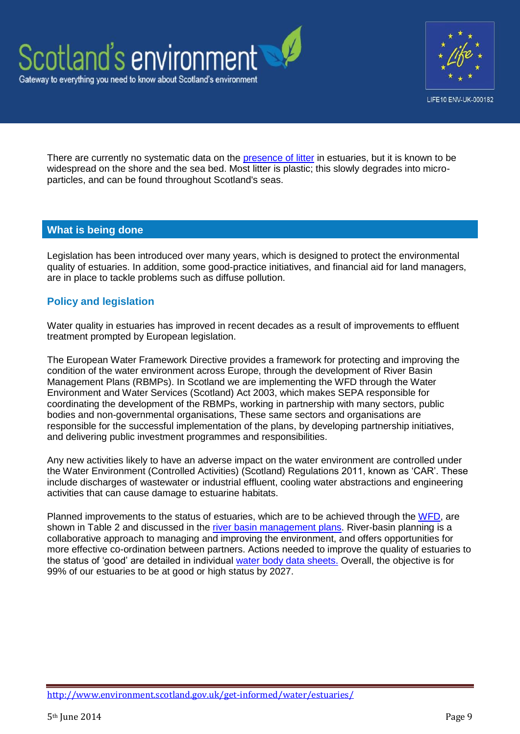



There are currently no systematic data on the [presence of litter](http://www.unep.org/regionalseas/marinelitter/about/distribution/default.asp) in estuaries, but it is known to be widespread on the shore and the sea bed. Most litter is plastic; this slowly degrades into microparticles, and can be found throughout Scotland's seas.

# **What is being done**

Legislation has been introduced over many years, which is designed to protect the environmental quality of estuaries. In addition, some good-practice initiatives, and financial aid for land managers, are in place to tackle problems such as diffuse pollution.

# **Policy and legislation**

Water quality in estuaries has improved in recent decades as a result of improvements to effluent treatment prompted by European legislation.

The European Water Framework Directive provides a framework for protecting and improving the condition of the water environment across Europe, through the development of River Basin Management Plans (RBMPs). In Scotland we are implementing the WFD through the Water Environment and Water Services (Scotland) Act 2003, which makes SEPA responsible for coordinating the development of the RBMPs, working in partnership with many sectors, public bodies and non-governmental organisations, These same sectors and organisations are responsible for the successful implementation of the plans, by developing partnership initiatives, and delivering public investment programmes and responsibilities.

Any new activities likely to have an adverse impact on the water environment are controlled under the Water Environment (Controlled Activities) (Scotland) Regulations 2011, known as 'CAR'. These include discharges of wastewater or industrial effluent, cooling water abstractions and engineering activities that can cause damage to estuarine habitats.

Planned improvements to the status of estuaries, which are to be achieved through the [WFD,](http://www.scotland.gov.uk/Topics/Environment/Water/15561/WFD) are shown in Table 2 and discussed in the [river basin management plans.](http://www.sepa.org.uk/water/idoc.ashx?docid=2b22ae22-41ea-4094-9636-e1b4d7fb37ee&version=-1) River-basin planning is a collaborative approach to managing and improving the environment, and offers opportunities for more effective co-ordination between partners. Actions needed to improve the quality of estuaries to the status of 'good' are detailed in individual [water body data sheets.](http://www.sepa.org.uk/water/river_basin_planning/waterbody_data_sheets.aspx) Overall, the objective is for 99% of our estuaries to be at good or high status by 2027.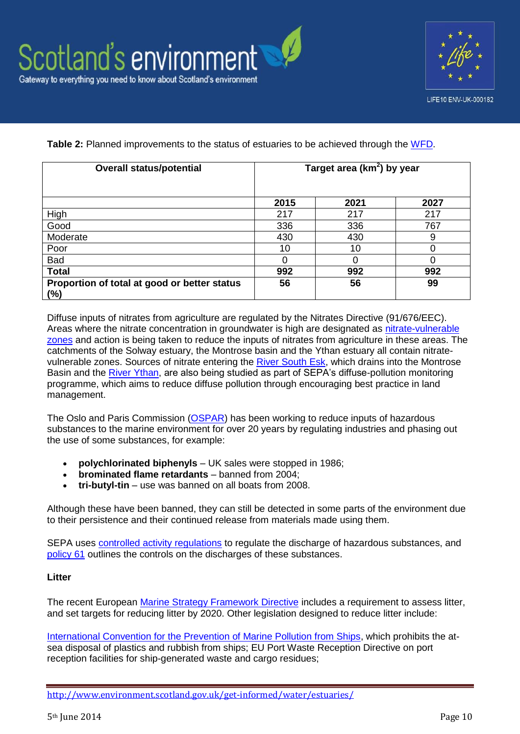

**Table 2:** Planned improvements to the status of estuaries to be achieved through the [WFD.](http://www.scotland.gov.uk/Topics/Environment/Water/15561/WFD)

| <b>Overall status/potential</b>                        | Target area (km <sup>2</sup> ) by year |      |      |  |  |
|--------------------------------------------------------|----------------------------------------|------|------|--|--|
|                                                        | 2015                                   | 2021 | 2027 |  |  |
| High                                                   | 217                                    | 217  | 217  |  |  |
| Good                                                   | 336                                    | 336  | 767  |  |  |
| Moderate                                               | 430                                    | 430  | 9    |  |  |
| Poor                                                   | 10                                     | 10   | 0    |  |  |
| Bad                                                    | 0                                      |      | 0    |  |  |
| <b>Total</b>                                           | 992                                    | 992  | 992  |  |  |
| Proportion of total at good or better status<br>$(\%)$ | 56                                     | 56   | 99   |  |  |

Diffuse inputs of nitrates from agriculture are regulated by the Nitrates Directive (91/676/EEC). Areas where the nitrate concentration in groundwater is high are designated as [nitrate-vulnerable](http://www.scotland.gov.uk/Topics/farmingrural/Agriculture/Environment/NVZintro)  [zones](http://www.scotland.gov.uk/Topics/farmingrural/Agriculture/Environment/NVZintro) and action is being taken to reduce the inputs of nitrates from agriculture in these areas. The catchments of the Solway estuary, the Montrose basin and the Ythan estuary all contain nitratevulnerable zones. Sources of nitrate entering the [River South Esk,](http://www.sepa.org.uk/water/river_basin_planning/dp_priority_catchments/river_south_esk_catchment.aspx) which drains into the Montrose Basin and the [River Ythan,](http://www.sepa.org.uk/water/diffuse_pollution/monitored_catchments.aspx) are also being studied as part of SEPA's diffuse-pollution monitoring programme, which aims to reduce diffuse pollution through encouraging best practice in land management.

The Oslo and Paris Commission [\(OSPAR\)](http://qsr2010.ospar.org/en/ch05_02.html) has been working to reduce inputs of hazardous substances to the marine environment for over 20 years by regulating industries and phasing out the use of some substances, for example:

- **polychlorinated biphenyls** UK sales were stopped in 1986;
- **brominated flame retardants** banned from 2004;
- **tri-butyl-tin** use was banned on all boats from 2008.

Although these have been banned, they can still be detected in some parts of the environment due to their persistence and their continued release from materials made using them.

SEPA uses [controlled activity regulations](http://www.sepa.org.uk/water/water_regulation/car_application_forms.aspx) to regulate the discharge of hazardous substances, and [policy 61](http://www.sepa.org.uk/about_us/policies.aspx) outlines the controls on the discharges of these substances.

# **Litter**

The recent European [Marine Strategy Framework Directive](http://www.scotland.gov.uk/Topics/marine/seamanagement/msfd) includes a requirement to assess litter, and set targets for reducing litter by 2020. Other legislation designed to reduce litter include:

[International Convention for the Prevention of Marine Pollution from Ships,](http://www.imo.org/About/Conventions/ListOfConventions/Pages/International-Convention-for-the-Prevention-of-Pollution-from-Ships-%28MARPOL%29.aspx) which prohibits the atsea disposal of plastics and rubbish from ships; EU Port Waste Reception Directive on port reception facilities for ship-generated waste and cargo residues;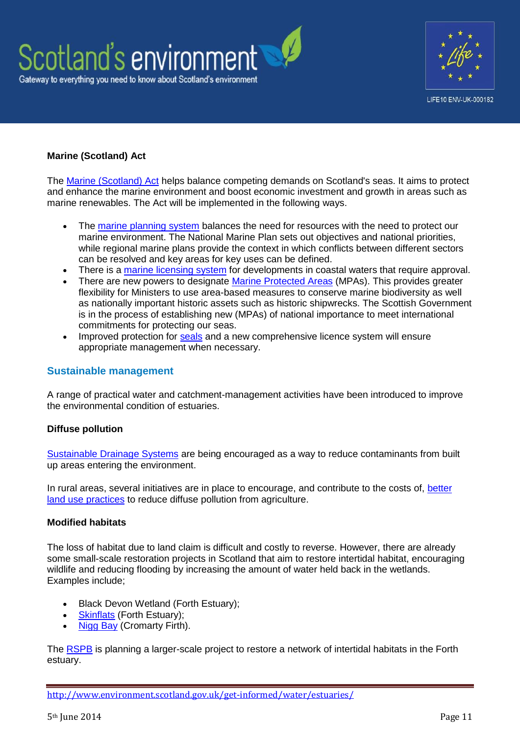



# **Marine (Scotland) Act**

The [Marine \(Scotland\) Act](http://www.scotland.gov.uk/Topics/marine/seamanagement/marineact) helps balance competing demands on Scotland's seas. It aims to protect and enhance the marine environment and boost economic investment and growth in areas such as marine renewables. The Act will be implemented in the following ways.

- The [marine planning system](http://www.scotland.gov.uk/Topics/marine/seamanagement/national) balances the need for resources with the need to protect our marine environment. The National Marine Plan sets out objectives and national priorities, while regional marine plans provide the context in which conflicts between different sectors can be resolved and key areas for key uses can be defined.
- There is a [marine licensing system](http://www.scotland.gov.uk/Topics/marine/Licensing/marine) for developments in coastal waters that require approval.
- There are new powers to designate [Marine Protected Areas](http://www.scotland.gov.uk/Topics/marine/marine-environment/mpanetwork) (MPAs). This provides greater flexibility for Ministers to use area-based measures to conserve marine biodiversity as well as nationally important historic assets such as historic shipwrecks. The Scottish Government is in the process of establishing new (MPAs) of national importance to meet international commitments for protecting our seas.
- Improved protection for [seals](http://www.scotland.gov.uk/Topics/marine/seamanagement/marineact/Seals) and a new comprehensive licence system will ensure appropriate management when necessary.

#### **Sustainable management**

A range of practical water and catchment-management activities have been introduced to improve the environmental condition of estuaries.

#### **Diffuse pollution**

[Sustainable Drainage Systems](http://www.sepa.org.uk/water/water_regulation/regimes/pollution_control/suds/suds_explained.aspx) are being encouraged as a way to reduce contaminants from built up areas entering the environment.

In rural areas, several initiatives are in place to encourage, and contribute to the costs of, better [land use practices](http://www.scotland.gov.uk/Topics/farmingrural/SRDP/RuralPriorities) to reduce diffuse pollution from agriculture.

#### **Modified habitats**

The loss of habitat due to land claim is difficult and costly to reverse. However, there are already some small-scale restoration projects in Scotland that aim to restore intertidal habitat, encouraging wildlife and reducing flooding by increasing the amount of water held back in the wetlands. Examples include;

- Black Devon Wetland (Forth Estuary);
- [Skinflats](http://www.rspb.org.uk/reserves/guide/s/skinflats/index.aspx) (Forth Estuary);
- [Nigg Bay](http://www.rspb.org.uk/climate/help/wildlife/reserves/creating.aspx) (Cromarty Firth).

The [RSPB](http://www.rspb.org.uk/news/319044-heritage-lottery-fund-backs-major-inner-forth-project) is planning a larger-scale project to restore a network of intertidal habitats in the Forth estuary.

<http://www.environment.scotland.gov.uk/get-informed/water/estuaries/>